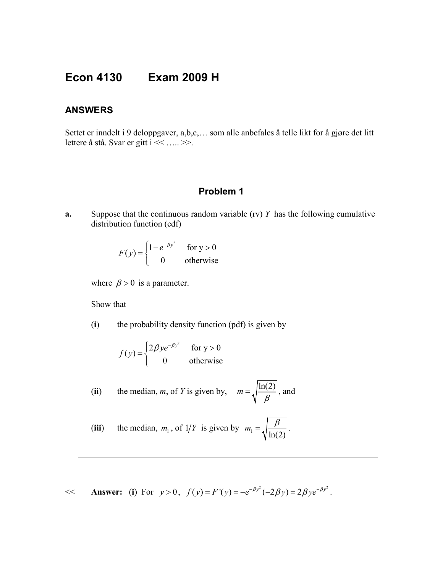# **Econ 4130 Exam 2009 H**

### **ANSWERS**

Settet er inndelt i 9 deloppgaver, a,b,c,… som alle anbefales å telle likt for å gjøre det litt lettere å stå. Svar er gitt i << ….. >>.

# **Problem 1**

**a.** Suppose that the continuous random variable (rv) *Y* has the following cumulative distribution function (cdf)

$$
F(y) = \begin{cases} 1 - e^{-\beta y^2} & \text{for } y > 0\\ 0 & \text{otherwise} \end{cases}
$$

where  $\beta > 0$  is a parameter.

Show that

(**i**) the probability density function (pdf) is given by

$$
f(y) = \begin{cases} 2\beta y e^{-\beta y^2} & \text{for } y > 0\\ 0 & \text{otherwise} \end{cases}
$$

(**ii**) the median, *m*, of *Y* is given by,  $m = \sqrt{\frac{\ln(2)}{\beta}}$ , and

(iii) the median, 
$$
m_1
$$
, of  $1/Y$  is given by  $m_1 = \sqrt{\frac{\beta}{\ln(2)}}$ .

 $<<$  **Answer:** (**i**) For  $y > 0$ ,  $f(y) = F'(y) = -e^{-\beta y^2}(-2\beta y) = 2\beta ye^{-\beta y^2}$ .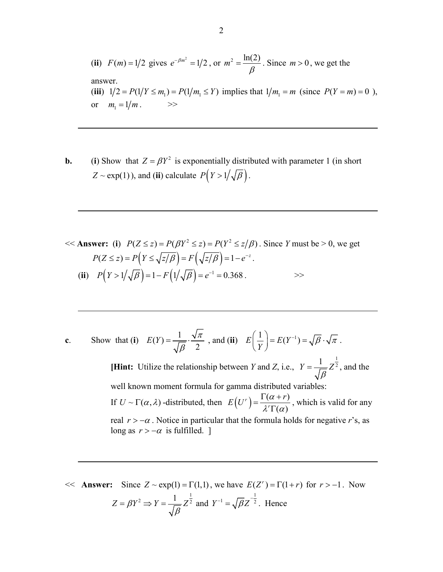(ii) 
$$
F(m) = 1/2
$$
 gives  $e^{-\beta m^2} = 1/2$ , or  $m^2 = \frac{\ln(2)}{\beta}$ . Since  $m > 0$ , we get the answer.  
\n(iii)  $1/2 = P(1/Y \le m_1) = P(1/m_1 \le Y)$  implies that  $1/m_1 = m$  (since  $P(Y = m) = 0$ ), or  $m_1 = 1/m$ .

**b.** (**i**) Show that  $Z = \beta Y^2$  is exponentially distributed with parameter 1 (in short  $Z \sim \exp(1)$ ), and (**ii**) calculate  $P(Y > 1/\sqrt{\beta})$ .

<< **Answer:** (i) 
$$
P(Z \le z) = P(\beta Y^2 \le z) = P(Y^2 \le z/\beta)
$$
. Since *Y* must be > 0, we get  
\n $P(Z \le z) = P(Y \le \sqrt{z/\beta}) = F(\sqrt{z/\beta}) = 1 - e^{-z}$ .  
\n(ii)  $P(Y > 1/\sqrt{\beta}) = 1 - F(1/\sqrt{\beta}) = e^{-1} = 0.368$ .

c. Show that (i) 
$$
E(Y) = \frac{1}{\sqrt{\beta}} \cdot \frac{\sqrt{\pi}}{2}
$$
, and (ii)  $E\left(\frac{1}{Y}\right) = E(Y^{-1}) = \sqrt{\beta} \cdot \sqrt{\pi}$ .

**[Hint:** Utilize the relationship between *Y* and *Z*, i.e.,  $Y = \frac{1}{\sqrt{\beta}} Z^{\frac{1}{2}}$ , and the well known moment formula for gamma distributed variables: If  $U \sim \Gamma(\alpha,\lambda)$  -distributed, then  $E(U^r) = \frac{\Gamma(\alpha+r)}{N \Gamma(\alpha)}$  $(a)$ *r*  $E(U') = \frac{\Gamma(\alpha + r)}{\lambda' \Gamma(\alpha)}$ , which is valid for any real  $r > -\alpha$ . Notice in particular that the formula holds for negative *r*'s, as long as  $r > -\alpha$  is fulfilled. ]

 $<<$  **Answer:** Since  $Z \sim \exp(1) = \Gamma(1,1)$ , we have  $E(Z^r) = \Gamma(1+r)$  for  $r > -1$ . Now  $Z = \beta Y^2 \Rightarrow Y = \frac{1}{\sqrt{\beta}} Z^{\frac{1}{2}}$  and  $Y^{-1} = \sqrt{\beta Z^{-\frac{1}{2}}}$ . Hence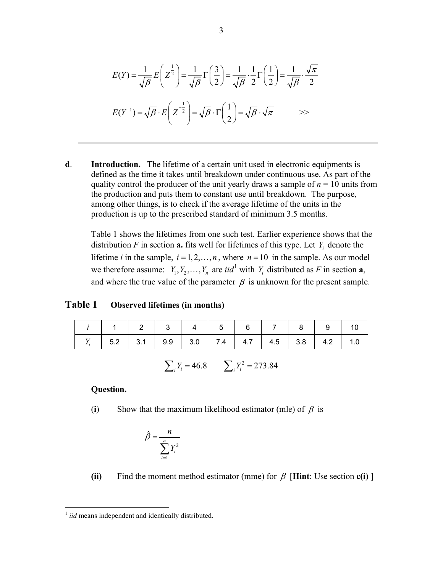$$
E(Y) = \frac{1}{\sqrt{\beta}} E\left(Z^{\frac{1}{2}}\right) = \frac{1}{\sqrt{\beta}} \Gamma\left(\frac{3}{2}\right) = \frac{1}{\sqrt{\beta}} \cdot \frac{1}{2} \Gamma\left(\frac{1}{2}\right) = \frac{1}{\sqrt{\beta}} \cdot \frac{\sqrt{\pi}}{2}
$$

$$
E(Y^{-1}) = \sqrt{\beta} \cdot E\left(Z^{-\frac{1}{2}}\right) = \sqrt{\beta} \cdot \Gamma\left(\frac{1}{2}\right) = \sqrt{\beta} \cdot \sqrt{\pi} \qquad \implies
$$

**d**. **Introduction.** The lifetime of a certain unit used in electronic equipments is defined as the time it takes until breakdown under continuous use. As part of the quality control the producer of the unit yearly draws a sample of  $n = 10$  units from the production and puts them to constant use until breakdown. The purpose, among other things, is to check if the average lifetime of the units in the production is up to the prescribed standard of minimum 3.5 months.

Table 1 shows the lifetimes from one such test. Earlier experience shows that the distribution  $F$  in section  $a$ , fits well for lifetimes of this type. Let  $Y_i$  denote the lifetime *i* in the sample,  $i = 1, 2, ..., n$ , where  $n = 10$  in the sample. As our model we therefore assume:  $Y_1, Y_2, \ldots, Y_n$  $Y_1, Y_2, \ldots, Y_n$  $Y_1, Y_2, \ldots, Y_n$  are *iid*<sup>1</sup> with  $Y_i$  distributed as *F* in section **a**, and where the true value of the parameter  $\beta$  is unknown for the present sample.

#### **Table 1 Observed lifetimes (in months)**

|  |  |  | 1 1 2 3 4 5 6 7 8 9 10                                            |  |  |
|--|--|--|-------------------------------------------------------------------|--|--|
|  |  |  | $Y_i$   5.2   3.1   9.9   3.0   7.4   4.7   4.5   3.8   4.2   1.0 |  |  |

$$
\sum_i Y_i = 46.8 \qquad \sum_i Y_i^2 = 273.84
$$

#### **Question.**

(**i**) Show that the maximum likelihood estimator (mle) of  $\beta$  is

$$
\hat{\beta} = \frac{n}{\sum_{i=1}^{n} Y_i^2}
$$

**(ii)** Find the moment method estimator (mme) for  $\beta$  [**Hint**: Use section **c(i)**]

<span id="page-2-0"></span><sup>&</sup>lt;sup>1</sup> *iid* means independent and identically distributed.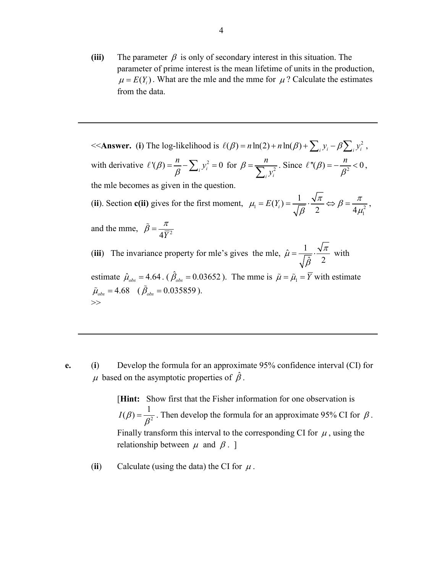**(iii)** The parameter  $\beta$  is only of secondary interest in this situation. The parameter of prime interest is the mean lifetime of units in the production,  $\mu = E(Y_i)$ . What are the mle and the mme for  $\mu$ ? Calculate the estimates from the data.

 $<<$  **Answer.** (**i**) The log-likelihood is  $\ell(\beta) = n \ln(2) + n \ln(\beta) + \sum_i y_i - \beta \sum_i y_i^2$ , with derivative  $\ell'(\beta) = \frac{n}{\beta} - \sum_i y_i^2 = 0$  for  $\beta = \frac{n}{\sum_i y_i^2}$ *i i n y*  $\beta = \frac{n}{\sum_{i} y_i^2}$ . Since  $\ell''(\beta) = -\frac{n}{\beta^2} < 0$ , the mle becomes as given in the question. (ii). Section **c**(ii) gives for the first moment,  $\mu_1 = E(Y_i) = \frac{V}{\sqrt{2}} \Rightarrow \beta = \frac{V}{4\pi r^2}$  $\mu_1 = E(Y_i) = \frac{1}{\sqrt{\beta}} \cdot \frac{\sqrt{\pi}}{2} \Leftrightarrow \beta = \frac{\pi}{4\mu_1^2},$ and the mme,  $\tilde{\beta} = \frac{\pi}{4\overline{Y}^2}$ (iii) The invariance property for mle's gives the mle,  $\hat{\mu} = \frac{1}{\sqrt{\hat{\beta}}} \cdot \frac{\sqrt{\pi}}{2}$ β  $=\frac{1}{\sqrt{2}} \cdot \frac{\sqrt{2}}{2}$  with estimate  $\hat{\mu}_{obs} = 4.64$ . ( $\hat{\beta}_{obs} = 0.03652$ ). The mme is  $\tilde{\mu} = \tilde{\mu}_1 = \overline{Y}$  with estimate  $\tilde{\mu}_{obs} = 4.68 \quad (\tilde{\beta}_{obs} = 0.035859).$ >>

**e.** (**i**) Develop the formula for an approximate 95% confidence interval (CI) for  $\mu$  based on the asymptotic properties of  $\hat{\beta}$ .

> [**Hint:** Show first that the Fisher information for one observation is  $I(\beta) = \frac{1}{\beta^2}$ . Then develop the formula for an approximate 95% CI for  $\beta$ . Finally transform this interval to the corresponding CI for  $\mu$ , using the relationship between  $\mu$  and  $\beta$ . ]

(ii) Calculate (using the data) the CI for  $\mu$ .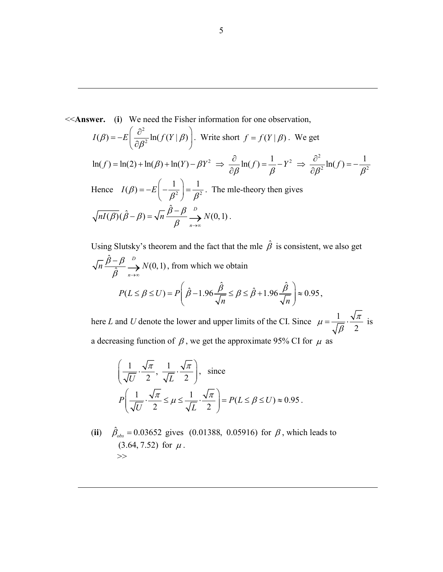<<**Answer.** (**i**) We need the Fisher information for one observation, 2  $I(\beta) = -E\left(\frac{\partial^2}{\partial \beta^2} \ln(f(Y | \beta))\right)$ . Write short  $f = f(Y | \beta)$ . We get  $2 \rightarrow \frac{\partial}{\partial \ln(f)} 1 \quad V^2 \rightarrow \frac{\partial^2}{\partial f}$  $\ln(f) = \ln(2) + \ln(\beta) + \ln(Y) - \beta Y^2 \Rightarrow \frac{\partial}{\partial \beta} \ln(f) = \frac{1}{\beta} - Y^2 \Rightarrow \frac{\partial^2}{\partial \beta^2} \ln(f) = -\frac{1}{\beta^2}$  $\partial \beta$   $\beta$   $\beta$   $\partial$ Hence  $I(\beta) = -E\left(-\frac{1}{\beta^2}\right) = \frac{1}{\beta^2}$ . The mle-theory then gives  $\overline{(\beta)}(\hat{\beta}-\beta) = \sqrt{n} \frac{\hat{\beta}-\beta}{\hat{\beta}} \stackrel{D}{\longrightarrow} N(0,1)$  $\overline{nI(\beta)}(\hat{\beta}-\beta) = \sqrt{n} \frac{\beta-\beta}{\beta} \xrightarrow[n \to \infty]{D} N(0,1)$ .

Using Slutsky's theorem and the fact that the mle  $\hat{\beta}$  is consistent, we also get  $\frac{\hat{\beta}-\beta}{\hat{\beta}} \stackrel{D}{\longrightarrow} N(0,1)$ *n*  $\frac{\overline{n} \beta - \beta}{\frac{\Delta}{\sqrt{n}}} \stackrel{D}{\longrightarrow} N$  $\frac{-\beta}{\hat{\beta}} \xrightarrow[n \to \infty]{D} N(0, 1)$ , from which we obtain  $P(L \leq \beta \leq U) = P\left(\hat{\beta} - 1.96\frac{\hat{\beta}}{\sqrt{\beta}} \leq \beta \leq \hat{\beta} + 1.96\frac{\hat{\beta}}{\sqrt{\sqrt{\beta}}}\right) \approx 0.95$ *n n*  $\leq \beta \leq U$ ) =  $P\left(\hat{\beta} - 1.96\frac{\hat{\beta}}{\sqrt{\beta}} \leq \beta \leq \hat{\beta} + 1.96\frac{\hat{\beta}}{\sqrt{\sqrt{\beta}}}\right) \approx$  $\left(\begin{array}{cc} \sqrt{n} & \sqrt{n} \end{array}\right)$ ,

here *L* and *U* denote the lower and upper limits of the CI. Since  $\mu = \frac{1}{\sqrt{2}}$ 2  $\mu = \frac{1}{\sqrt{\beta}} \cdot \frac{\sqrt{\pi}}{2}$  is a decreasing function of  $\beta$ , we get the approximate 95% CI for  $\mu$  as

$$
\left(\frac{1}{\sqrt{U}} \cdot \frac{\sqrt{\pi}}{2}, \frac{1}{\sqrt{L}} \cdot \frac{\sqrt{\pi}}{2}\right), \text{ since}
$$
  

$$
P\left(\frac{1}{\sqrt{U}} \cdot \frac{\sqrt{\pi}}{2} \le \mu \le \frac{1}{\sqrt{L}} \cdot \frac{\sqrt{\pi}}{2}\right) = P(L \le \beta \le U) \approx 0.95.
$$

(**ii**)  $\hat{\beta}_{obs} = 0.03652$  gives (0.01388, 0.05916) for  $\beta$ , which leads to  $(3.64, 7.52)$  for  $\mu$ . >>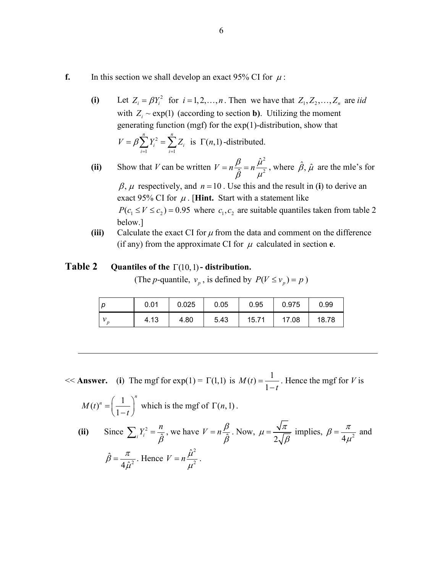- **f.** In this section we shall develop an exact 95% CI for  $\mu$ :
	- (i) Let  $Z_i = \beta Y_i^2$  for  $i = 1, 2, ..., n$ . Then we have that  $Z_1, Z_2, ..., Z_n$  are *iid* with  $Z_i \sim \exp(1)$  (according to section **b**). Utilizing the moment generating function (mgf) for the exp(1)-distribution, show that 2  $1$   $i=1$ is  $\Gamma (n,1)$ *n n*  $i \equiv \sum_i$ *i i*  $V = \beta \sum Y_i^2 = \sum Z_i$  is  $\Gamma(n)$  $=\beta \sum_{i=1} Y_i^2 = \sum_{i=1} Z_i$  is  $\Gamma(n,1)$ -distributed.

**(ii)** Show that *V* can be written 2 2  $V = n \frac{\beta}{\hat{\beta}} = n \frac{\hat{\mu}^2}{\mu^2}$ , where  $\hat{\beta}$ ,  $\hat{\mu}$  are the mle's for

 $\beta$ ,  $\mu$  respectively, and  $n = 10$ . Use this and the result in (**i**) to derive an exact 95% CI for  $\mu$ . [**Hint.** Start with a statement like

 $P(c_1 \le V \le c_2) = 0.95$  where  $c_1, c_2$  are suitable quantiles taken from table 2 below.]

**(iii)** Calculate the exact CI for  $\mu$  from the data and comment on the difference (if any) from the approximate CI for  $\mu$  calculated in section **e**.

### **Table 2 Quantiles of the** Γ(10,1)**- distribution.**

(The *p*-quantile,  $v_p$ , is defined by  $P(V \le v_p) = p$ )

| 0.01 | 0.025 | 0.05 | 0.95  | 0.975 | 0.99  |
|------|-------|------|-------|-------|-------|
| 4.13 | 4.80  | 5.43 | 15.71 | 17.08 | 18.78 |

 $<<$  **Answer.** (**i**) The mgf for exp(1) =  $\Gamma(1,1)$  is  $M(t) = \frac{1}{1-t}$ . Hence the mgf for *V* is  $(t)^n = \left(\frac{1}{1-t}\right)^n$  $M(t)^n$  $=\left(\frac{1}{1-t}\right)^n$  which is the mgf of  $\Gamma(n,1)$ . (ii) Since  $\sum_i Y_i^2 = \frac{n}{\hat{\beta}}$ , we have  $V = n \frac{\beta}{\hat{\beta}}$ . Now,  $\mu = \frac{\beta}{2}$  $\mu = \frac{\sqrt{\pi}}{2\sqrt{\beta}}$  implies,  $\beta = \frac{\pi}{4\mu^2}$  and  $\hat{B} = \frac{\pi}{4 \Omega^2}$ 4 $\hat{\mu}$  $\hat{\beta} = \frac{\pi}{4\hat{\mu}^2}$ . Hence 2  $V = n \frac{\hat{\mu}^2}{\mu^2}.$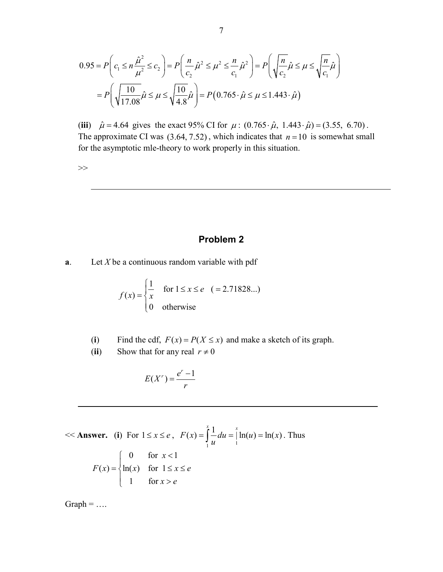$$
0.95 = P\left(c_1 \le n\frac{\hat{\mu}^2}{\mu^2} \le c_2\right) = P\left(\frac{n}{c_2}\hat{\mu}^2 \le \mu^2 \le \frac{n}{c_1}\hat{\mu}^2\right) = P\left(\sqrt{\frac{n}{c_2}}\hat{\mu} \le \mu \le \sqrt{\frac{n}{c_1}}\hat{\mu}\right)
$$

$$
= P\left(\sqrt{\frac{10}{17.08}}\hat{\mu} \le \mu \le \sqrt{\frac{10}{4.8}}\hat{\mu}\right) = P\left(0.765 \cdot \hat{\mu} \le \mu \le 1.443 \cdot \hat{\mu}\right)
$$

(**iii**)  $\hat{\mu} = 4.64$  gives the exact 95% CI for  $\mu$  :  $(0.765 \cdot \hat{\mu}, 1.443 \cdot \hat{\mu}) = (3.55, 6.70)$ . The approximate CI was  $(3.64, 7.52)$ , which indicates that  $n = 10$  is somewhat small for the asymptotic mle-theory to work properly in this situation.

>>

## **Problem 2**

**a**. Let *X* be a continuous random variable with pdf

$$
f(x) = \begin{cases} \frac{1}{x} & \text{for } 1 \le x \le e \\ 0 & \text{otherwise} \end{cases} \quad ( = 2.71828...)
$$

- (**i**) Find the cdf,  $F(x) = P(X \le x)$  and make a sketch of its graph.
- (**ii**) Show that for any real  $r \neq 0$

$$
E(X^r) = \frac{e^r - 1}{r}
$$

$$
\ll \text{Answer. (i) For } 1 \le x \le e, \quad F(x) = \int_{1}^{x} \frac{1}{u} du = \int_{1}^{x} \ln(u) = \ln(x). \text{ Thus}
$$
\n
$$
F(x) = \begin{cases} 0 & \text{for } x < 1 \\ \ln(x) & \text{for } 1 \le x \le e \\ 1 & \text{for } x > e \end{cases}
$$

 $Graph = ...$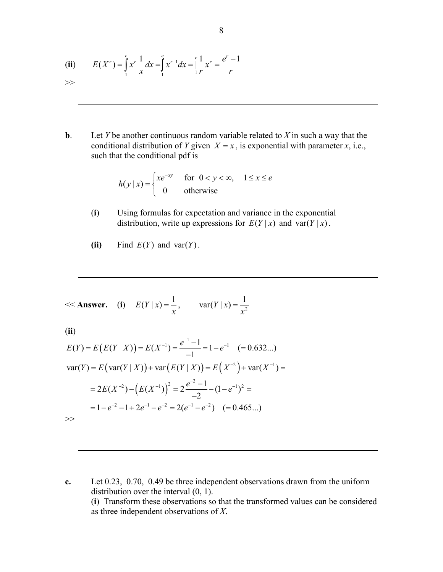(ii) 
$$
E(X^r) = \int_{1}^{e} x^r \frac{1}{x} dx = \int_{1}^{e} x^{r-1} dx = \int_{1}^{e} \frac{1}{r} x^r = \frac{e^r - 1}{r}
$$

**b**. Let *Y* be another continuous random variable related to *X* in such a way that the conditional distribution of *Y* given  $X = x$ , is exponential with parameter *x*, i.e., such that the conditional pdf is

$$
h(y \mid x) = \begin{cases} xe^{-xy} & \text{for } 0 < y < \infty, \quad 1 \le x \le e \\ 0 & \text{otherwise} \end{cases}
$$

- (**i**) Using formulas for expectation and variance in the exponential distribution, write up expressions for  $E(Y|x)$  and var $(Y|x)$ .
- (ii) Find  $E(Y)$  and var(Y).

<< **Answer.** (i) 
$$
E(Y | x) = \frac{1}{x}
$$
,  $var(Y | x) = \frac{1}{x^2}$ 

(**ii**)

$$
E(Y) = E(E(Y | X)) = E(X^{-1}) = \frac{e^{-1} - 1}{-1} = 1 - e^{-1} \quad (= 0.632...)
$$
  

$$
var(Y) = E( var(Y | X)) + var(E(Y | X)) = E(X^{-2}) + var(X^{-1}) =
$$
  

$$
= 2E(X^{-2}) - (E(X^{-1}))^{2} = 2\frac{e^{-2} - 1}{-2} - (1 - e^{-1})^{2} =
$$
  

$$
= 1 - e^{-2} - 1 + 2e^{-1} - e^{-2} = 2(e^{-1} - e^{-2}) \quad (= 0.465...)
$$

>>

**c.** Let 0.23, 0.70, 0.49 be three independent observations drawn from the uniform distribution over the interval (0, 1). (**i**) Transform these observations so that the transformed values can be considered as three independent observations of *X*.

8